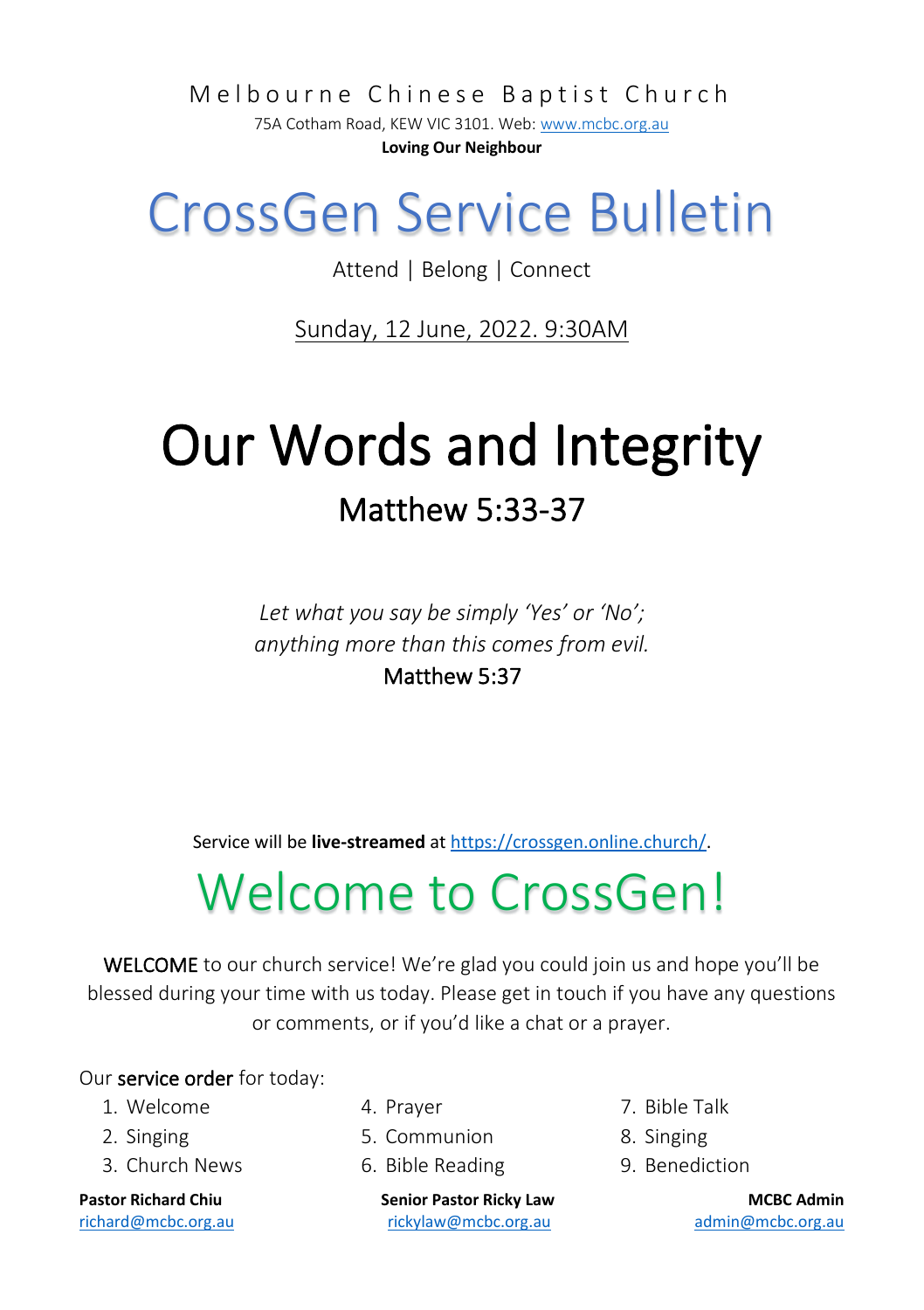Melbourne Chinese Baptist Church

75A Cotham Road, KEW VIC 3101. Web[: www.mcbc.org.au](http://www.mcbc.org.au/) **Loving Our Neighbour**

## CrossGen Service Bulletin

Attend | Belong | Connect

Sunday, 12 June, 2022. 9:30AM

# Our Words and Integrity Matthew 5:33-37

*Let what you say be simply 'Yes' or 'No'; anything more than this comes from evil.*

#### Matthew 5:37

Service will be **live-streamed** a[t https://crossgen.online.church/.](https://crossgen.online.church/)

## Welcome to CrossGen!

WELCOME to our church service! We're glad you could join us and hope you'll be blessed during your time with us today. Please get in touch if you have any questions or comments, or if you'd like a chat or a prayer.

#### Our service order for today:

- 1. Welcome
- 2. Singing
- 3. Church News

- 4. Prayer
- 5. Communion
- 6. Bible Reading

**Pastor Richard Chiu Senior Pastor Ricky Law MCBC Admin** [richard@mcbc.org.au](mailto:richard@mcbc.org.au) [rickylaw@mcbc.org.au](mailto:rickylaw@mcbc.org.au) [admin@mcbc.org.au](mailto:admin@mcbc.org.au)

- 7. Bible Talk
- 8. Singing
- 9. Benediction